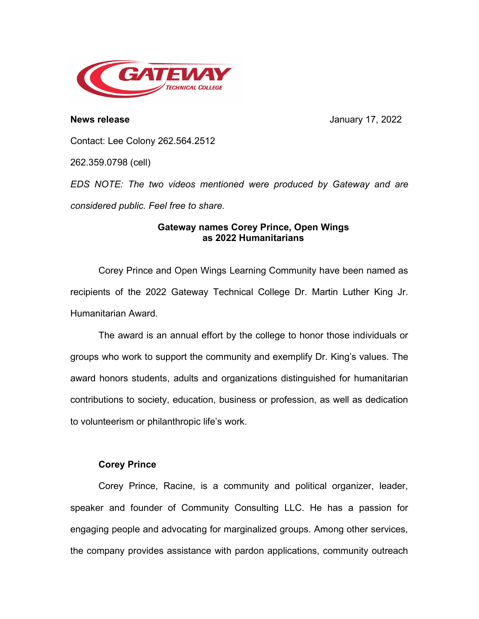

**News release** January 17, 2022

Contact: Lee Colony 262.564.2512

262.359.0798 (cell)

*EDS NOTE: The two videos mentioned were produced by Gateway and are considered public. Feel free to share.*

## **Gateway names Corey Prince, Open Wings as 2022 Humanitarians**

Corey Prince and Open Wings Learning Community have been named as recipients of the 2022 Gateway Technical College Dr. Martin Luther King Jr. Humanitarian Award.

The award is an annual effort by the college to honor those individuals or groups who work to support the community and exemplify Dr. King's values. The award honors students, adults and organizations distinguished for humanitarian contributions to society, education, business or profession, as well as dedication to volunteerism or philanthropic life's work.

## **Corey Prince**

Corey Prince, Racine, is a community and political organizer, leader, speaker and founder of Community Consulting LLC. He has a passion for engaging people and advocating for marginalized groups. Among other services, the company provides assistance with pardon applications, community outreach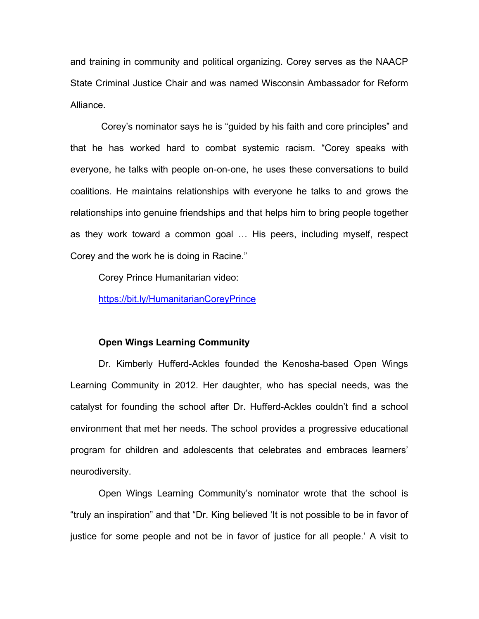and training in community and political organizing. Corey serves as the NAACP State Criminal Justice Chair and was named Wisconsin Ambassador for Reform Alliance.

Corey's nominator says he is "guided by his faith and core principles" and that he has worked hard to combat systemic racism. "Corey speaks with everyone, he talks with people on-on-one, he uses these conversations to build coalitions. He maintains relationships with everyone he talks to and grows the relationships into genuine friendships and that helps him to bring people together as they work toward a common goal … His peers, including myself, respect Corey and the work he is doing in Racine."

Corey Prince Humanitarian video:

<https://bit.ly/HumanitarianCoreyPrince>

## **Open Wings Learning Community**

Dr. Kimberly Hufferd-Ackles founded the Kenosha-based Open Wings Learning Community in 2012. Her daughter, who has special needs, was the catalyst for founding the school after Dr. Hufferd-Ackles couldn't find a school environment that met her needs. The school provides a progressive educational program for children and adolescents that celebrates and embraces learners' neurodiversity.

Open Wings Learning Community's nominator wrote that the school is "truly an inspiration" and that "Dr. King believed 'It is not possible to be in favor of justice for some people and not be in favor of justice for all people.' A visit to